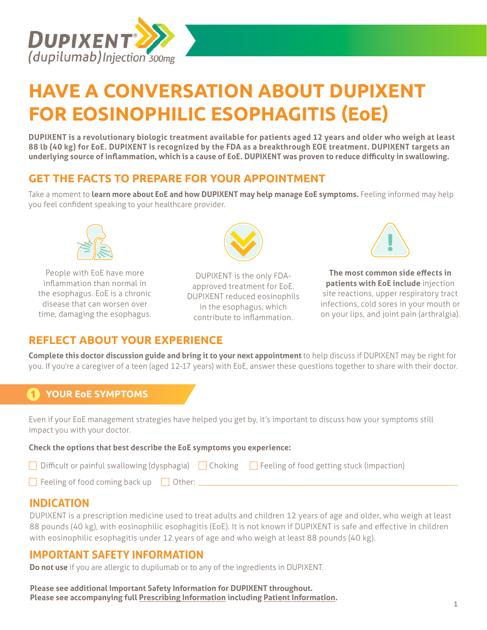

# **HAVE A CONVERSATION ABOUT DUPIXENT FOR EOSINOPHILIC ESOPHAGITIS (EoE)**

**DUPIXENT is a revolutionary biologic treatment available for patients aged 12 years and older who weigh at least 88 lb (40 kg) for EoE. DUPIXENT is recognized by the FDA as a breakthrough EOE treatment. DUPIXENT targets an underlying source of inflammation, which is a cause of EoE. DUPIXENT was proven to reduce difficulty in swallowing.**

## **GET THE FACTS TO PREPARE FOR YOUR APPOINTMENT**

Take a moment to **learn more about EoE and how DUPIXENT may help manage EoE symptoms.** Feeling informed may help you feel confident speaking to your healthcare provider.



People with EoE have more inflammation than normal in the esophagus. EoE is a chronic disease that can worsen over time, damaging the esophagus.



DUPIXENT is the only FDAapproved treatment for EoE. DUPIXENT reduced eosinophils in the esophagus, which contribute to inflammation.



**The most common side effects in patients with EoE include** injection site reactions, upper respiratory tract infections, cold sores in your mouth or on your lips, and joint pain (arthralgia).

## **REFLECT ABOUT YOUR EXPERIENCE**

**Complete this doctor discussion guide and bring it to your next appointment** to help discuss if DUPIXENT may be right for you. If you're a caregiver of a teen (aged 12-17 years) with EoE, answer these questions together to share with their doctor.

## **1 YOUR EoE SYMPTOMS**

Even if your EoE management strategies have helped you get by, it's important to discuss how your symptoms still impact you with your doctor.

#### **Check the options that best describe the EoE symptoms you experience:**

| □ Difficult or painful swallowing (dysphagia) □ Choking □ Feeling of food getting stuck (impaction) |  |
|-----------------------------------------------------------------------------------------------------|--|
|                                                                                                     |  |

 $\Box$  Feeling of food coming back up  $\Box$  Other:  $\Box$ 

# **INDICATION**

DUPIXENT is a prescription medicine used to treat adults and children 12 years of age and older, who weigh at least 88 pounds (40 kg), with eosinophilic esophagitis (EoE). It is not known if DUPIXENT is safe and effective in children with eosinophilic esophagitis under 12 years of age and who weigh at least 88 pounds (40 kg).

## **IMPORTANT SAFETY INFORMATION**

**Do not use** if you are allergic to dupilumab or to any of the ingredients in DUPIXENT.

**Please see additional Important Safety Information for DUPIXENT throughout. Please see accompanying full [Prescribing Information](https://www.regeneron.com/downloads/dupixent_fpi.pdf) including [Patient Information.](https://www.regeneron.com/downloads/dupixent_ppi.pdf)**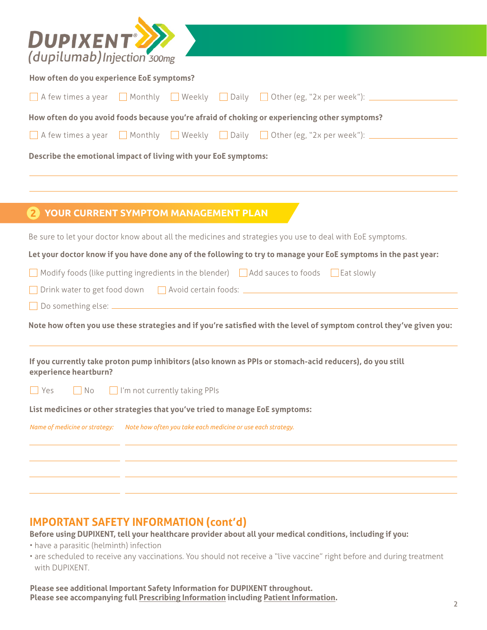| $\overline{D}$ <b>UPIXENT</b>                                                                                                     |  |  |
|-----------------------------------------------------------------------------------------------------------------------------------|--|--|
| How often do you experience EoE symptoms?                                                                                         |  |  |
| A few times a year Monthly Weekly Daily Other (eg, "2x per week"): _________                                                      |  |  |
|                                                                                                                                   |  |  |
| How often do you avoid foods because you're afraid of choking or experiencing other symptoms?                                     |  |  |
| A few times a year Monthly Neekly Daily Other (eg, "2x per week"): ________                                                       |  |  |
| Describe the emotional impact of living with your EoE symptoms:                                                                   |  |  |
|                                                                                                                                   |  |  |
|                                                                                                                                   |  |  |
| 2 YOUR CURRENT SYMPTOM MANAGEMENT PLAN                                                                                            |  |  |
| Be sure to let your doctor know about all the medicines and strategies you use to deal with EoE symptoms.                         |  |  |
| Let your doctor know if you have done any of the following to try to manage your EoE symptoms in the past year:                   |  |  |
| Modify foods (like putting ingredients in the blender) $\Box$ Add sauces to foods $\Box$ Eat slowly                               |  |  |
| Drink water to get food down Avoid certain foods: All All All All All All All Avoid certain foods: All All All A                  |  |  |
|                                                                                                                                   |  |  |
| Note how often you use these strategies and if you're satisfied with the level of symptom control they've given you:              |  |  |
| If you currently take proton pump inhibitors (also known as PPIs or stomach-acid reducers), do you still<br>experience heartburn? |  |  |
| I'm not currently taking PPIs<br>No<br>Yes                                                                                        |  |  |
| List medicines or other strategies that you've tried to manage EoE symptoms:                                                      |  |  |
| Name of medicine or strategy:<br>Note how often you take each medicine or use each strategy.                                      |  |  |
|                                                                                                                                   |  |  |
|                                                                                                                                   |  |  |
|                                                                                                                                   |  |  |

# **IMPORTANT SAFETY INFORMATION (cont'd)**

**Before using DUPIXENT, tell your healthcare provider about all your medical conditions, including if you:**

- have a parasitic (helminth) infection
- are scheduled to receive any vaccinations. You should not receive a "live vaccine" right before and during treatment with DUPIXENT.

**Please see additional Important Safety Information for DUPIXENT throughout. Please see accompanying full [Prescribing Information](https://www.regeneron.com/downloads/dupixent_fpi.pdf) including [Patient Information.](https://www.regeneron.com/downloads/dupixent_ppi.pdf)**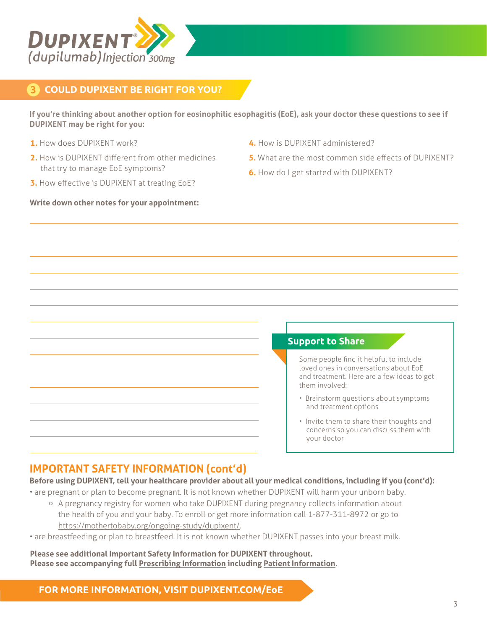

## **3 COULD DUPIXENT BE RIGHT FOR YOU?**

**If you're thinking about another option for eosinophilic esophagitis (EoE), ask your doctor these questions to see if DUPIXENT may be right for you:** 

- **1.** How does DUPIXENT work?
- **2.** How is DUPIXENT different from other medicines that try to manage EoE symptoms?
- **3.** How effective is DUPIXENT at treating EoE?

#### **Write down other notes for your appointment:**

- **4.** How is DUPIXENT administered?
- **5.** What are the most common side effects of DUPIXENT?
- **6.** How do I get started with DUPIXENT?

#### **Support to Share**

Some people find it helpful to include loved ones in conversations about EoE and treatment. Here are a few ideas to get them involved:

- Brainstorm questions about symptoms and treatment options
- Invite them to share their thoughts and concerns so you can discuss them with your doctor

# **IMPORTANT SAFETY INFORMATION (cont'd)**

**Before using DUPIXENT, tell your healthcare provider about all your medical conditions, including if you (cont'd):**

• are pregnant or plan to become pregnant. It is not known whether DUPIXENT will harm your unborn baby. o A pregnancy registry for women who take DUPIXENT during pregnancy collects information about

the health of you and your baby. To enroll or get more information call [1-877-311-8972](tel:18773118972) or go to <https://mothertobaby.org/ongoing-study/dupixent/>.

• are breastfeeding or plan to breastfeed. It is not known whether DUPIXENT passes into your breast milk.

**Please see additional Important Safety Information for DUPIXENT throughout. Please see accompanying full [Prescribing Information](https://www.regeneron.com/downloads/dupixent_fpi.pdf) including [Patient Information.](https://www.regeneron.com/downloads/dupixent_ppi.pdf)**

**FOR MORE INFORMATION, VISIT [DUPIXENT.COM/](http://DUPIXENT.COM/EoE)EoE**